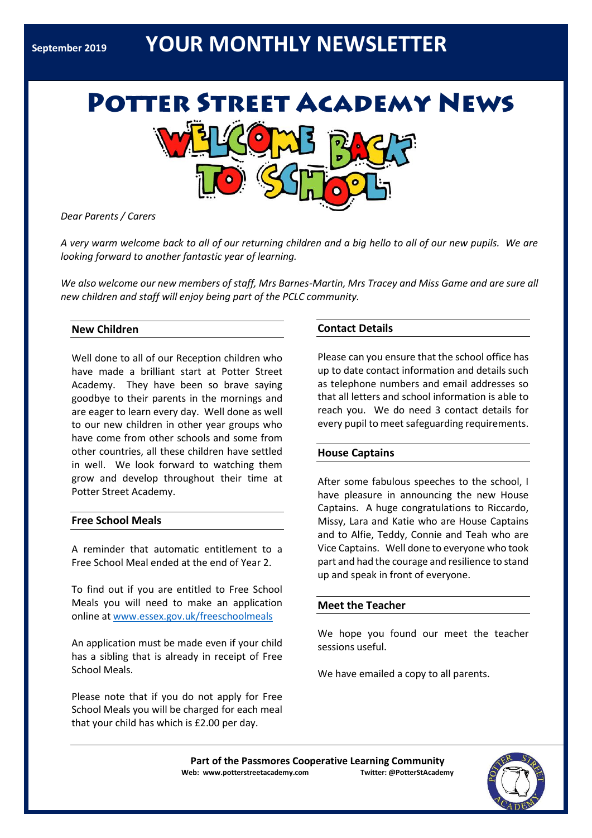# **September <sup>2019</sup>YOUR MONTHLY NEWSLETTER**



*Dear Parents / Carers*

*A very warm welcome back to all of our returning children and a big hello to all of our new pupils. We are looking forward to another fantastic year of learning.*

*We also welcome our new members of staff, Mrs Barnes-Martin, Mrs Tracey and Miss Game and are sure all new children and staff will enjoy being part of the PCLC community.*

# **New Children**

Well done to all of our Reception children who have made a brilliant start at Potter Street Academy. They have been so brave saying goodbye to their parents in the mornings and are eager to learn every day. Well done as well to our new children in other year groups who have come from other schools and some from other countries, all these children have settled in well. We look forward to watching them grow and develop throughout their time at Potter Street Academy.

#### **Free School Meals**

A reminder that automatic entitlement to a Free School Meal ended at the end of Year 2.

To find out if you are entitled to Free School Meals you will need to make an application online at<www.essex.gov.uk/freeschoolmeals>

An application must be made even if your child has a sibling that is already in receipt of Free School Meals.

Please note that if you do not apply for Free School Meals you will be charged for each meal that your child has which is £2.00 per day.

# **Contact Details**

Please can you ensure that the school office has up to date contact information and details such as telephone numbers and email addresses so that all letters and school information is able to reach you. We do need 3 contact details for every pupil to meet safeguarding requirements.

#### **House Captains**

After some fabulous speeches to the school, I have pleasure in announcing the new House Captains. A huge congratulations to Riccardo, Missy, Lara and Katie who are House Captains and to Alfie, Teddy, Connie and Teah who are Vice Captains. Well done to everyone who took part and had the courage and resilience to stand up and speak in front of everyone.

### **Meet the Teacher**

We hope you found our meet the teacher sessions useful.

We have emailed a copy to all parents.

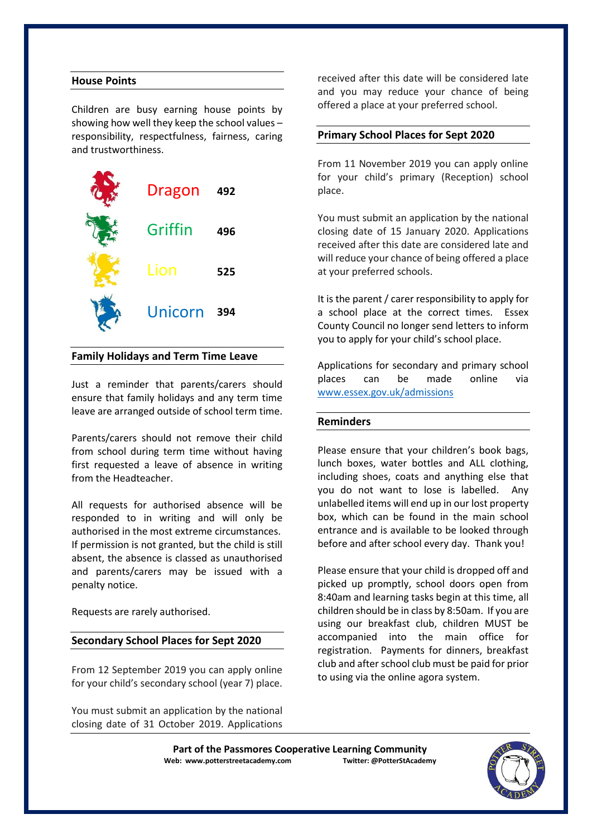### **House Points**

Children are busy earning house points by showing how well they keep the school values – responsibility, respectfulness, fairness, caring and trustworthiness.



#### **Family Holidays and Term Time Leave**

Just a reminder that parents/carers should ensure that family holidays and any term time leave are arranged outside of school term time.

Parents/carers should not remove their child from school during term time without having first requested a leave of absence in writing from the Headteacher.

All requests for authorised absence will be responded to in writing and will only be authorised in the most extreme circumstances. If permission is not granted, but the child is still absent, the absence is classed as unauthorised and parents/carers may be issued with a penalty notice.

Requests are rarely authorised.

#### **Secondary School Places for Sept 2020**

From 12 September 2019 you can apply online for your child's secondary school (year 7) place.

You must submit an application by the national closing date of 31 October 2019. Applications

received after this date will be considered late and you may reduce your chance of being offered a place at your preferred school.

#### **Primary School Places for Sept 2020**

From 11 November 2019 you can apply online for your child's primary (Reception) school place.

You must submit an application by the national closing date of 15 January 2020. Applications received after this date are considered late and will reduce your chance of being offered a place at your preferred schools.

It is the parent / carer responsibility to apply for a school place at the correct times. Essex County Council no longer send letters to inform you to apply for your child's school place.

Applications for secondary and primary school places can be made online via [www.essex.gov.uk/admissions](http://www.essex.gov.uk/admissions)

#### **Reminders**

Please ensure that your children's book bags, lunch boxes, water bottles and ALL clothing, including shoes, coats and anything else that you do not want to lose is labelled. Any unlabelled items will end up in our lost property box, which can be found in the main school entrance and is available to be looked through before and after school every day. Thank you!

Please ensure that your child is dropped off and picked up promptly, school doors open from 8:40am and learning tasks begin at this time, all children should be in class by 8:50am. If you are using our breakfast club, children MUST be accompanied into the main office for registration. Payments for dinners, breakfast club and after school club must be paid for prior to using via the online agora system.

Part of the Passmores Cooperative Learning Community<br>eb: www.potterstreetacademy.com **Intiter:** @PotterStAcademy **Web: www.potterstreetacademy.com** 

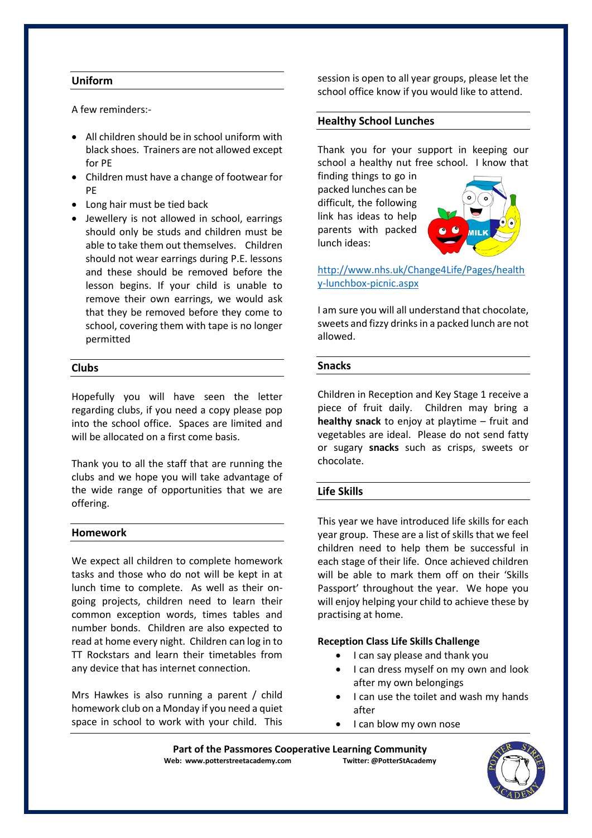# **Uniform**

A few reminders:-

- All children should be in school uniform with black shoes. Trainers are not allowed except for PE
- Children must have a change of footwear for PE
- Long hair must be tied back
- Jewellery is not allowed in school, earrings should only be studs and children must be able to take them out themselves. Children should not wear earrings during P.E. lessons and these should be removed before the lesson begins. If your child is unable to remove their own earrings, we would ask that they be removed before they come to school, covering them with tape is no longer permitted

# **Clubs**

Hopefully you will have seen the letter regarding clubs, if you need a copy please pop into the school office. Spaces are limited and will be allocated on a first come basis.

Thank you to all the staff that are running the clubs and we hope you will take advantage of the wide range of opportunities that we are offering.

# **Homework**

We expect all children to complete homework tasks and those who do not will be kept in at lunch time to complete. As well as their ongoing projects, children need to learn their common exception words, times tables and number bonds. Children are also expected to read at home every night. Children can log in to TT Rockstars and learn their timetables from any device that has internet connection.

Mrs Hawkes is also running a parent / child homework club on a Monday if you need a quiet space in school to work with your child. This session is open to all year groups, please let the school office know if you would like to attend.

# **Healthy School Lunches**

Thank you for your support in keeping our school a healthy nut free school. I know that

finding things to go in packed lunches can be difficult, the following link has ideas to help parents with packed lunch ideas:



[http://www.nhs.uk/Change4Life/Pages/health](http://www.nhs.uk/Change4Life/Pages/healthy-lunchbox-picnic.aspx) [y-lunchbox-picnic.aspx](http://www.nhs.uk/Change4Life/Pages/healthy-lunchbox-picnic.aspx)

I am sure you will all understand that chocolate, sweets and fizzy drinks in a packed lunch are not allowed.

# **Snacks**

Children in Reception and Key Stage 1 receive a piece of fruit daily. Children may bring a **healthy snack** to enjoy at playtime – fruit and vegetables are ideal. Please do not send fatty or sugary **snacks** such as crisps, sweets or chocolate.

# **Life Skills**

This year we have introduced life skills for each year group. These are a list of skills that we feel children need to help them be successful in each stage of their life. Once achieved children will be able to mark them off on their 'Skills Passport' throughout the year. We hope you will enjoy helping your child to achieve these by practising at home.

# **Reception Class Life Skills Challenge**

- I can say please and thank you
- I can dress myself on my own and look after my own belongings
- I can use the toilet and wash my hands after
- I can blow my own nose

Part of the Passmores Cooperative Learning Community<br>eb: www.potterstreetacademy.com **Intiter:** @PotterStAcademy **Web: www.potterstreetacademy.com** 

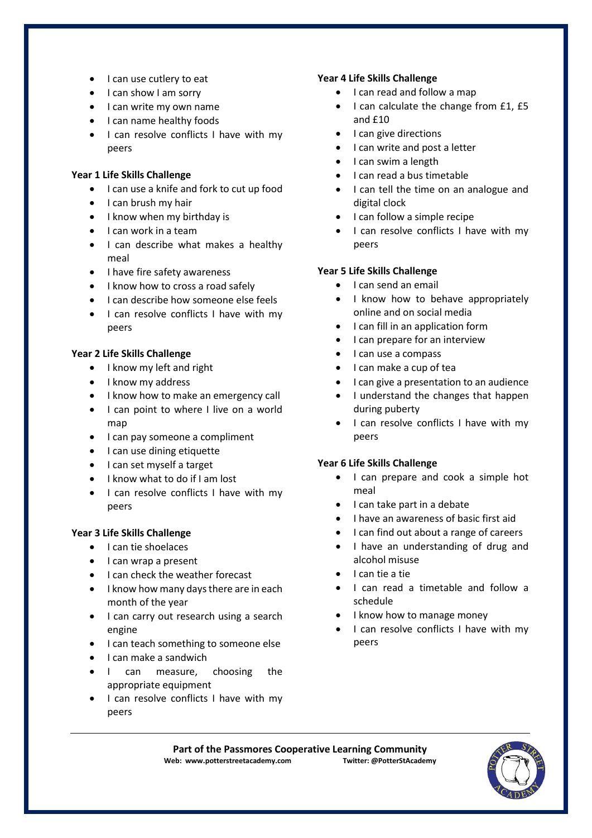- I can use cutlery to eat
- I can show I am sorry
- I can write my own name
- I can name healthy foods
- I can resolve conflicts I have with my peers

# **Year 1 Life Skills Challenge**

- I can use a knife and fork to cut up food
- I can brush my hair
- I know when my birthday is
- I can work in a team
- I can describe what makes a healthy meal
- I have fire safety awareness
- I know how to cross a road safely
- I can describe how someone else feels
- I can resolve conflicts I have with my peers

# **Year 2 Life Skills Challenge**

- I know my left and right
- I know my address
- I know how to make an emergency call
- I can point to where I live on a world map
- I can pay someone a compliment
- I can use dining etiquette
- I can set myself a target
- I know what to do if I am lost
- I can resolve conflicts I have with my peers

# **Year 3 Life Skills Challenge**

- I can tie shoelaces
- I can wrap a present
- I can check the weather forecast
- I know how many days there are in each month of the year
- I can carry out research using a search engine
- I can teach something to someone else
- I can make a sandwich
- I can measure, choosing the appropriate equipment
- I can resolve conflicts I have with my peers

# **Year 4 Life Skills Challenge**

- I can read and follow a map
- I can calculate the change from £1, £5 and £10
- I can give directions
- I can write and post a letter
- I can swim a length
- I can read a bus timetable
- I can tell the time on an analogue and digital clock
- I can follow a simple recipe
- I can resolve conflicts I have with my peers

# **Year 5 Life Skills Challenge**

- I can send an email
- I know how to behave appropriately online and on social media
- I can fill in an application form
- I can prepare for an interview
- I can use a compass
- I can make a cup of tea
- I can give a presentation to an audience
- I understand the changes that happen during puberty
- I can resolve conflicts I have with my peers

# **Year 6 Life Skills Challenge**

- I can prepare and cook a simple hot meal
- I can take part in a debate
- I have an awareness of basic first aid
- I can find out about a range of careers
- I have an understanding of drug and alcohol misuse
- I can tie a tie
- I can read a timetable and follow a schedule
- I know how to manage money
- I can resolve conflicts I have with my peers

Part of the Passmores Cooperative Learning Community<br>eb: www.potterstreetacademy.com **Twitter:** @PotterStAcademy **Web: www.potterstreetacademy.com**